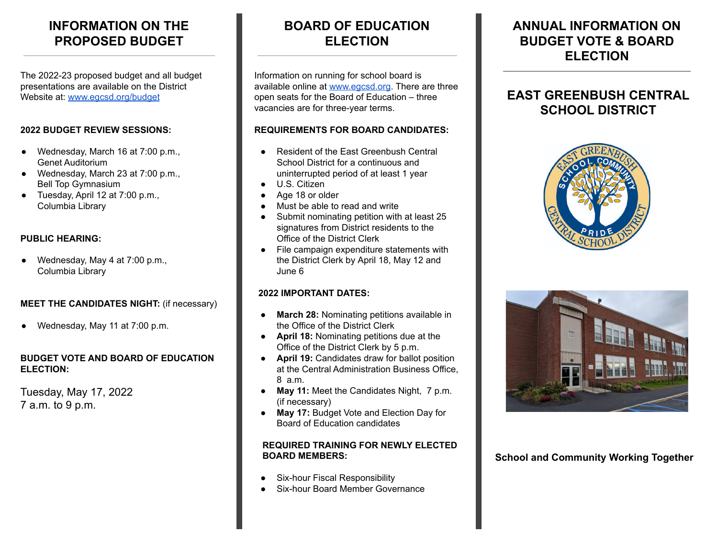# **INFORMATION ON THE PROPOSED BUDGET**

The 2022-23 proposed budget and all budget presentations are available on the District Website at: [www.egcsd.org/budget](http://www.egcsd.org/budget)

### **2022 BUDGET REVIEW SESSIONS:**

- Wednesday, March 16 at 7:00 p.m., Genet Auditorium
- Wednesday, March 23 at 7:00 p.m., Bell Top Gymnasium
- Tuesday, April 12 at 7:00 p.m., Columbia Library

### **PUBLIC HEARING:**

Wednesday, May 4 at  $7:00$  p.m., Columbia Library

### **MEET THE CANDIDATES NIGHT:** (if necessary)

Wednesday, May 11 at 7:00 p.m.

#### **BUDGET VOTE AND BOARD OF EDUCATION ELECTION:**

Tuesday, May 17, 2022 7 a.m. to 9 p.m.

# **BOARD OF EDUCATION ELECTION**

Information on running for school board is available online at [www.egcsd.org](http://www.egcsd.org). There are three open seats for the Board of Education – three vacancies are for three-year terms.

### **REQUIREMENTS FOR BOARD CANDIDATES:**

- Resident of the East Greenbush Central School District for a continuous and uninterrupted period of at least 1 year
- U.S. Citizen
- Age 18 or older Must be able to read and write
- Submit nominating petition with at least 25 signatures from District residents to the Office of the District Clerk
- File campaign expenditure statements with the District Clerk by April 18, May 12 and June 6

### **2022 IMPORTANT DATES:**

- **March 28:** Nominating petitions available in the Office of the District Clerk
- **April 18:** Nominating petitions due at the Office of the District Clerk by 5 p.m.
- **April 19:** Candidates draw for ballot position at the Central Administration Business Office, 8 a.m.
- **May 11:** Meet the Candidates Night, 7 p.m. (if necessary)
- **May 17:** Budget Vote and Election Day for Board of Education candidates

### **REQUIRED TRAINING FOR NEWLY ELECTED BOARD MEMBERS:**

- Six-hour Fiscal Responsibility
- **Six-hour Board Member Governance**

# **ANNUAL INFORMATION ON BUDGET VOTE & BOARD ELECTION**

# **EAST GREENBUSH CENTRAL SCHOOL DISTRICT**





**School and Community Working Together**